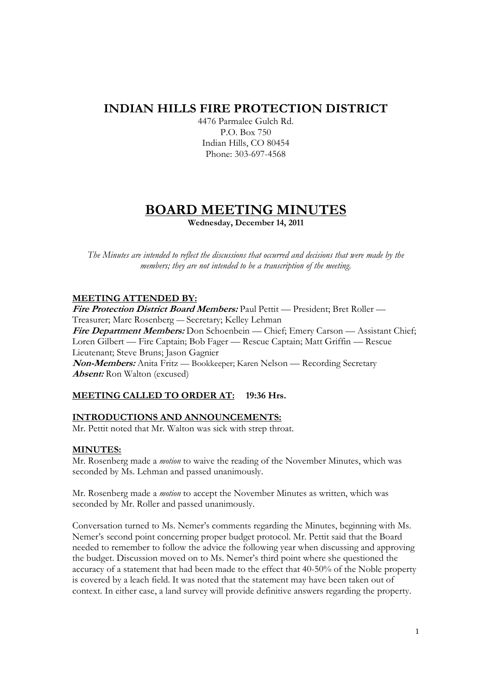# **INDIAN HILLS FIRE PROTECTION DISTRICT**

4476 Parmalee Gulch Rd. P.O. Box 750 Indian Hills, CO 80454 Phone: 303-697-4568

# **BOARD MEETING MINUTES**

**Wednesday, December 14, 2011** 

*The Minutes are intended to reflect the discussions that occurred and decisions that were made by the members; they are not intended to be a transcription of the meeting.* 

#### **MEETING ATTENDED BY:**

**Fire Protection District Board Members:** Paul Pettit — President; Bret Roller — Treasurer; Marc Rosenberg — Secretary; Kelley Lehman Fire Department Members: Don Schoenbein — Chief; Emery Carson — Assistant Chief; Loren Gilbert — Fire Captain; Bob Fager — Rescue Captain; Matt Griffin — Rescue Lieutenant; Steve Bruns; Jason Gagnier **Non-Members:** Anita Fritz — Bookkeeper; Karen Nelson — Recording Secretary **Absent:** Ron Walton (excused)

# **MEETING CALLED TO ORDER AT: 19:36 Hrs.**

# **INTRODUCTIONS AND ANNOUNCEMENTS:**

Mr. Pettit noted that Mr. Walton was sick with strep throat.

#### **MINUTES:**

Mr. Rosenberg made a *motion* to waive the reading of the November Minutes, which was seconded by Ms. Lehman and passed unanimously.

Mr. Rosenberg made a *motion* to accept the November Minutes as written, which was seconded by Mr. Roller and passed unanimously.

Conversation turned to Ms. Nemer's comments regarding the Minutes, beginning with Ms. Nemer's second point concerning proper budget protocol. Mr. Pettit said that the Board needed to remember to follow the advice the following year when discussing and approving the budget. Discussion moved on to Ms. Nemer's third point where she questioned the accuracy of a statement that had been made to the effect that 40-50% of the Noble property is covered by a leach field. It was noted that the statement may have been taken out of context. In either case, a land survey will provide definitive answers regarding the property.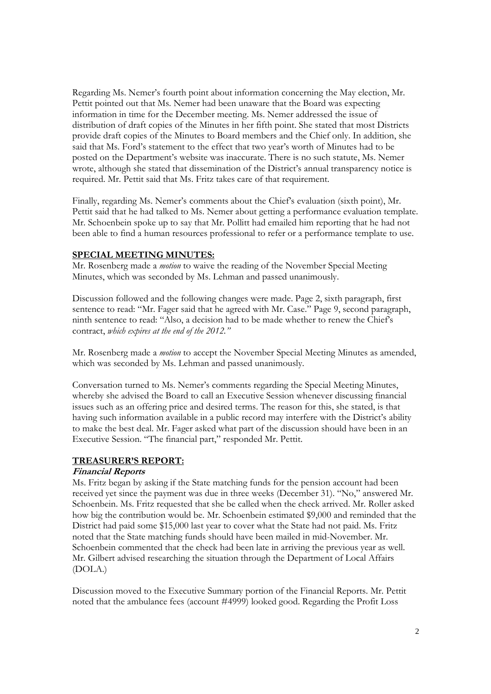Regarding Ms. Nemer's fourth point about information concerning the May election, Mr. Pettit pointed out that Ms. Nemer had been unaware that the Board was expecting information in time for the December meeting. Ms. Nemer addressed the issue of distribution of draft copies of the Minutes in her fifth point. She stated that most Districts provide draft copies of the Minutes to Board members and the Chief only. In addition, she said that Ms. Ford's statement to the effect that two year's worth of Minutes had to be posted on the Department's website was inaccurate. There is no such statute, Ms. Nemer wrote, although she stated that dissemination of the District's annual transparency notice is required. Mr. Pettit said that Ms. Fritz takes care of that requirement.

Finally, regarding Ms. Nemer's comments about the Chief's evaluation (sixth point), Mr. Pettit said that he had talked to Ms. Nemer about getting a performance evaluation template. Mr. Schoenbein spoke up to say that Mr. Pollitt had emailed him reporting that he had not been able to find a human resources professional to refer or a performance template to use.

#### **SPECIAL MEETING MINUTES:**

Mr. Rosenberg made a *motion* to waive the reading of the November Special Meeting Minutes, which was seconded by Ms. Lehman and passed unanimously.

Discussion followed and the following changes were made. Page 2, sixth paragraph, first sentence to read: "Mr. Fager said that he agreed with Mr. Case." Page 9, second paragraph, ninth sentence to read: "Also, a decision had to be made whether to renew the Chief's contract, *which expires at the end of the 2012."* 

Mr. Rosenberg made a *motion* to accept the November Special Meeting Minutes as amended, which was seconded by Ms. Lehman and passed unanimously.

Conversation turned to Ms. Nemer's comments regarding the Special Meeting Minutes, whereby she advised the Board to call an Executive Session whenever discussing financial issues such as an offering price and desired terms. The reason for this, she stated, is that having such information available in a public record may interfere with the District's ability to make the best deal. Mr. Fager asked what part of the discussion should have been in an Executive Session. "The financial part," responded Mr. Pettit.

#### **TREASURER'S REPORT:**

#### **Financial Reports**

Ms. Fritz began by asking if the State matching funds for the pension account had been received yet since the payment was due in three weeks (December 31). "No," answered Mr. Schoenbein. Ms. Fritz requested that she be called when the check arrived. Mr. Roller asked how big the contribution would be. Mr. Schoenbein estimated \$9,000 and reminded that the District had paid some \$15,000 last year to cover what the State had not paid. Ms. Fritz noted that the State matching funds should have been mailed in mid-November. Mr. Schoenbein commented that the check had been late in arriving the previous year as well. Mr. Gilbert advised researching the situation through the Department of Local Affairs (DOLA.)

Discussion moved to the Executive Summary portion of the Financial Reports. Mr. Pettit noted that the ambulance fees (account #4999) looked good. Regarding the Profit Loss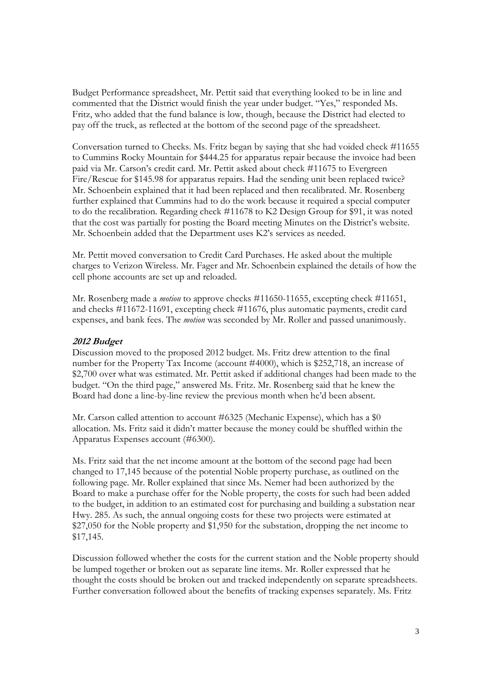Budget Performance spreadsheet, Mr. Pettit said that everything looked to be in line and commented that the District would finish the year under budget. "Yes," responded Ms. Fritz, who added that the fund balance is low, though, because the District had elected to pay off the truck, as reflected at the bottom of the second page of the spreadsheet.

Conversation turned to Checks. Ms. Fritz began by saying that she had voided check #11655 to Cummins Rocky Mountain for \$444.25 for apparatus repair because the invoice had been paid via Mr. Carson's credit card. Mr. Pettit asked about check #11675 to Evergreen Fire/Rescue for \$145.98 for apparatus repairs. Had the sending unit been replaced twice? Mr. Schoenbein explained that it had been replaced and then recalibrated. Mr. Rosenberg further explained that Cummins had to do the work because it required a special computer to do the recalibration. Regarding check #11678 to K2 Design Group for \$91, it was noted that the cost was partially for posting the Board meeting Minutes on the District's website. Mr. Schoenbein added that the Department uses K2's services as needed.

Mr. Pettit moved conversation to Credit Card Purchases. He asked about the multiple charges to Verizon Wireless. Mr. Fager and Mr. Schoenbein explained the details of how the cell phone accounts are set up and reloaded.

Mr. Rosenberg made a *motion* to approve checks #11650-11655, excepting check #11651, and checks #11672-11691, excepting check #11676, plus automatic payments, credit card expenses, and bank fees. The *motion* was seconded by Mr. Roller and passed unanimously.

#### **2012 Budget**

Discussion moved to the proposed 2012 budget. Ms. Fritz drew attention to the final number for the Property Tax Income (account #4000), which is \$252,718, an increase of \$2,700 over what was estimated. Mr. Pettit asked if additional changes had been made to the budget. "On the third page," answered Ms. Fritz. Mr. Rosenberg said that he knew the Board had done a line-by-line review the previous month when he'd been absent.

Mr. Carson called attention to account #6325 (Mechanic Expense), which has a \$0 allocation. Ms. Fritz said it didn't matter because the money could be shuffled within the Apparatus Expenses account (#6300).

Ms. Fritz said that the net income amount at the bottom of the second page had been changed to 17,145 because of the potential Noble property purchase, as outlined on the following page. Mr. Roller explained that since Ms. Nemer had been authorized by the Board to make a purchase offer for the Noble property, the costs for such had been added to the budget, in addition to an estimated cost for purchasing and building a substation near Hwy. 285. As such, the annual ongoing costs for these two projects were estimated at \$27,050 for the Noble property and \$1,950 for the substation, dropping the net income to \$17,145.

Discussion followed whether the costs for the current station and the Noble property should be lumped together or broken out as separate line items. Mr. Roller expressed that he thought the costs should be broken out and tracked independently on separate spreadsheets. Further conversation followed about the benefits of tracking expenses separately. Ms. Fritz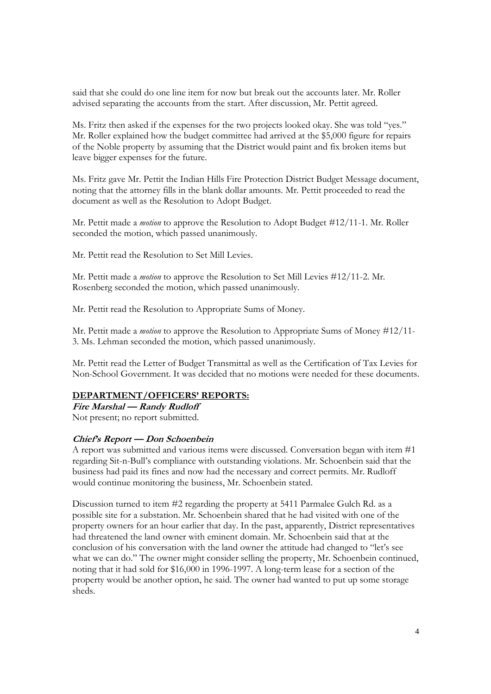said that she could do one line item for now but break out the accounts later. Mr. Roller advised separating the accounts from the start. After discussion, Mr. Pettit agreed.

Ms. Fritz then asked if the expenses for the two projects looked okay. She was told "yes." Mr. Roller explained how the budget committee had arrived at the \$5,000 figure for repairs of the Noble property by assuming that the District would paint and fix broken items but leave bigger expenses for the future.

Ms. Fritz gave Mr. Pettit the Indian Hills Fire Protection District Budget Message document, noting that the attorney fills in the blank dollar amounts. Mr. Pettit proceeded to read the document as well as the Resolution to Adopt Budget.

Mr. Pettit made a *motion* to approve the Resolution to Adopt Budget #12/11-1. Mr. Roller seconded the motion, which passed unanimously.

Mr. Pettit read the Resolution to Set Mill Levies.

Mr. Pettit made a *motion* to approve the Resolution to Set Mill Levies #12/11-2. Mr. Rosenberg seconded the motion, which passed unanimously.

Mr. Pettit read the Resolution to Appropriate Sums of Money.

Mr. Pettit made a *motion* to approve the Resolution to Appropriate Sums of Money #12/11- 3. Ms. Lehman seconded the motion, which passed unanimously.

Mr. Pettit read the Letter of Budget Transmittal as well as the Certification of Tax Levies for Non-School Government. It was decided that no motions were needed for these documents.

#### **DEPARTMENT/OFFICERS' REPORTS:**

**Fire Marshal — Randy Rudloff**  Not present; no report submitted.

#### **Chief's Report — Don Schoenbein**

A report was submitted and various items were discussed. Conversation began with item #1 regarding Sit-n-Bull's compliance with outstanding violations. Mr. Schoenbein said that the business had paid its fines and now had the necessary and correct permits. Mr. Rudloff would continue monitoring the business, Mr. Schoenbein stated.

Discussion turned to item #2 regarding the property at 5411 Parmalee Gulch Rd. as a possible site for a substation. Mr. Schoenbein shared that he had visited with one of the property owners for an hour earlier that day. In the past, apparently, District representatives had threatened the land owner with eminent domain. Mr. Schoenbein said that at the conclusion of his conversation with the land owner the attitude had changed to "let's see what we can do." The owner might consider selling the property, Mr. Schoenbein continued, noting that it had sold for \$16,000 in 1996-1997. A long-term lease for a section of the property would be another option, he said. The owner had wanted to put up some storage sheds.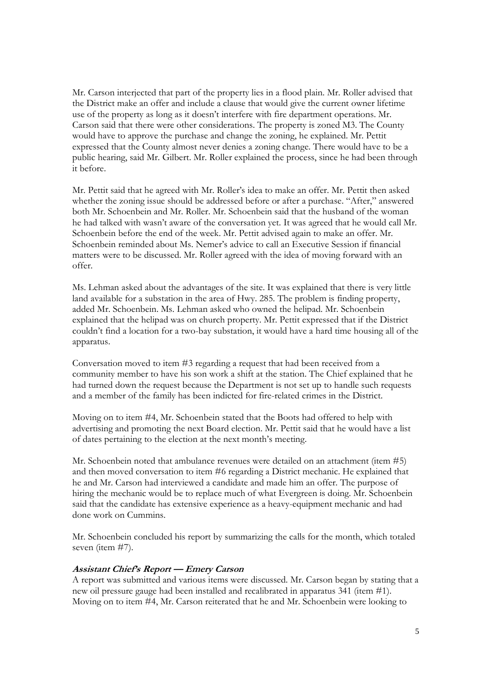Mr. Carson interjected that part of the property lies in a flood plain. Mr. Roller advised that the District make an offer and include a clause that would give the current owner lifetime use of the property as long as it doesn't interfere with fire department operations. Mr. Carson said that there were other considerations. The property is zoned M3. The County would have to approve the purchase and change the zoning, he explained. Mr. Pettit expressed that the County almost never denies a zoning change. There would have to be a public hearing, said Mr. Gilbert. Mr. Roller explained the process, since he had been through it before.

Mr. Pettit said that he agreed with Mr. Roller's idea to make an offer. Mr. Pettit then asked whether the zoning issue should be addressed before or after a purchase. "After," answered both Mr. Schoenbein and Mr. Roller. Mr. Schoenbein said that the husband of the woman he had talked with wasn't aware of the conversation yet. It was agreed that he would call Mr. Schoenbein before the end of the week. Mr. Pettit advised again to make an offer. Mr. Schoenbein reminded about Ms. Nemer's advice to call an Executive Session if financial matters were to be discussed. Mr. Roller agreed with the idea of moving forward with an offer.

Ms. Lehman asked about the advantages of the site. It was explained that there is very little land available for a substation in the area of Hwy. 285. The problem is finding property, added Mr. Schoenbein. Ms. Lehman asked who owned the helipad. Mr. Schoenbein explained that the helipad was on church property. Mr. Pettit expressed that if the District couldn't find a location for a two-bay substation, it would have a hard time housing all of the apparatus.

Conversation moved to item #3 regarding a request that had been received from a community member to have his son work a shift at the station. The Chief explained that he had turned down the request because the Department is not set up to handle such requests and a member of the family has been indicted for fire-related crimes in the District.

Moving on to item #4, Mr. Schoenbein stated that the Boots had offered to help with advertising and promoting the next Board election. Mr. Pettit said that he would have a list of dates pertaining to the election at the next month's meeting.

Mr. Schoenbein noted that ambulance revenues were detailed on an attachment (item #5) and then moved conversation to item #6 regarding a District mechanic. He explained that he and Mr. Carson had interviewed a candidate and made him an offer. The purpose of hiring the mechanic would be to replace much of what Evergreen is doing. Mr. Schoenbein said that the candidate has extensive experience as a heavy-equipment mechanic and had done work on Cummins.

Mr. Schoenbein concluded his report by summarizing the calls for the month, which totaled seven (item #7).

#### **Assistant Chief's Report — Emery Carson**

A report was submitted and various items were discussed. Mr. Carson began by stating that a new oil pressure gauge had been installed and recalibrated in apparatus 341 (item #1). Moving on to item #4, Mr. Carson reiterated that he and Mr. Schoenbein were looking to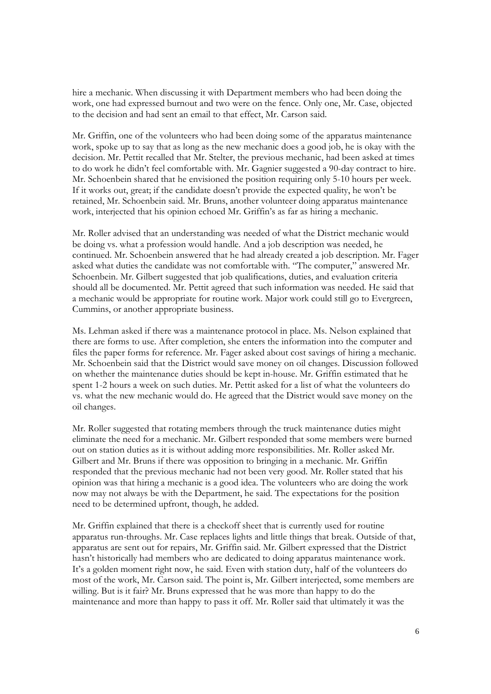hire a mechanic. When discussing it with Department members who had been doing the work, one had expressed burnout and two were on the fence. Only one, Mr. Case, objected to the decision and had sent an email to that effect, Mr. Carson said.

Mr. Griffin, one of the volunteers who had been doing some of the apparatus maintenance work, spoke up to say that as long as the new mechanic does a good job, he is okay with the decision. Mr. Pettit recalled that Mr. Stelter, the previous mechanic, had been asked at times to do work he didn't feel comfortable with. Mr. Gagnier suggested a 90-day contract to hire. Mr. Schoenbein shared that he envisioned the position requiring only 5-10 hours per week. If it works out, great; if the candidate doesn't provide the expected quality, he won't be retained, Mr. Schoenbein said. Mr. Bruns, another volunteer doing apparatus maintenance work, interjected that his opinion echoed Mr. Griffin's as far as hiring a mechanic.

Mr. Roller advised that an understanding was needed of what the District mechanic would be doing vs. what a profession would handle. And a job description was needed, he continued. Mr. Schoenbein answered that he had already created a job description. Mr. Fager asked what duties the candidate was not comfortable with. "The computer," answered Mr. Schoenbein. Mr. Gilbert suggested that job qualifications, duties, and evaluation criteria should all be documented. Mr. Pettit agreed that such information was needed. He said that a mechanic would be appropriate for routine work. Major work could still go to Evergreen, Cummins, or another appropriate business.

Ms. Lehman asked if there was a maintenance protocol in place. Ms. Nelson explained that there are forms to use. After completion, she enters the information into the computer and files the paper forms for reference. Mr. Fager asked about cost savings of hiring a mechanic. Mr. Schoenbein said that the District would save money on oil changes. Discussion followed on whether the maintenance duties should be kept in-house. Mr. Griffin estimated that he spent 1-2 hours a week on such duties. Mr. Pettit asked for a list of what the volunteers do vs. what the new mechanic would do. He agreed that the District would save money on the oil changes.

Mr. Roller suggested that rotating members through the truck maintenance duties might eliminate the need for a mechanic. Mr. Gilbert responded that some members were burned out on station duties as it is without adding more responsibilities. Mr. Roller asked Mr. Gilbert and Mr. Bruns if there was opposition to bringing in a mechanic. Mr. Griffin responded that the previous mechanic had not been very good. Mr. Roller stated that his opinion was that hiring a mechanic is a good idea. The volunteers who are doing the work now may not always be with the Department, he said. The expectations for the position need to be determined upfront, though, he added.

Mr. Griffin explained that there is a checkoff sheet that is currently used for routine apparatus run-throughs. Mr. Case replaces lights and little things that break. Outside of that, apparatus are sent out for repairs, Mr. Griffin said. Mr. Gilbert expressed that the District hasn't historically had members who are dedicated to doing apparatus maintenance work. It's a golden moment right now, he said. Even with station duty, half of the volunteers do most of the work, Mr. Carson said. The point is, Mr. Gilbert interjected, some members are willing. But is it fair? Mr. Bruns expressed that he was more than happy to do the maintenance and more than happy to pass it off. Mr. Roller said that ultimately it was the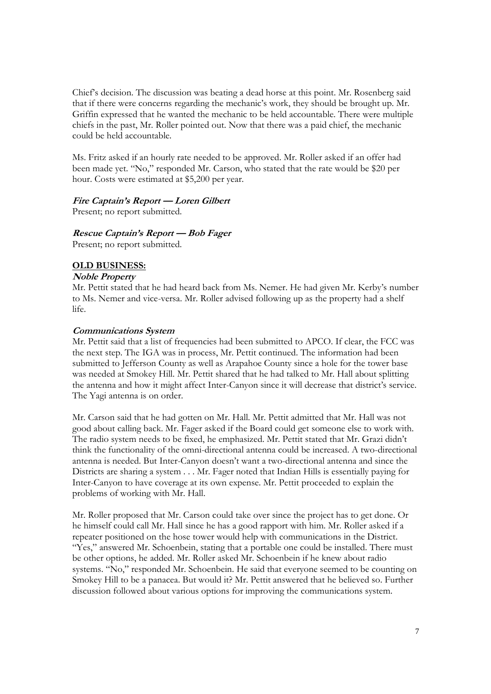Chief's decision. The discussion was beating a dead horse at this point. Mr. Rosenberg said that if there were concerns regarding the mechanic's work, they should be brought up. Mr. Griffin expressed that he wanted the mechanic to be held accountable. There were multiple chiefs in the past, Mr. Roller pointed out. Now that there was a paid chief, the mechanic could be held accountable.

Ms. Fritz asked if an hourly rate needed to be approved. Mr. Roller asked if an offer had been made yet. "No," responded Mr. Carson, who stated that the rate would be \$20 per hour. Costs were estimated at \$5,200 per year.

#### **Fire Captain's Report — Loren Gilbert**

Present; no report submitted.

#### **Rescue Captain's Report — Bob Fager**

Present; no report submitted.

#### **OLD BUSINESS:**

#### **Noble Property**

Mr. Pettit stated that he had heard back from Ms. Nemer. He had given Mr. Kerby's number to Ms. Nemer and vice-versa. Mr. Roller advised following up as the property had a shelf life.

#### **Communications System**

Mr. Pettit said that a list of frequencies had been submitted to APCO. If clear, the FCC was the next step. The IGA was in process, Mr. Pettit continued. The information had been submitted to Jefferson County as well as Arapahoe County since a hole for the tower base was needed at Smokey Hill. Mr. Pettit shared that he had talked to Mr. Hall about splitting the antenna and how it might affect Inter-Canyon since it will decrease that district's service. The Yagi antenna is on order.

Mr. Carson said that he had gotten on Mr. Hall. Mr. Pettit admitted that Mr. Hall was not good about calling back. Mr. Fager asked if the Board could get someone else to work with. The radio system needs to be fixed, he emphasized. Mr. Pettit stated that Mr. Grazi didn't think the functionality of the omni-directional antenna could be increased. A two-directional antenna is needed. But Inter-Canyon doesn't want a two-directional antenna and since the Districts are sharing a system . . . Mr. Fager noted that Indian Hills is essentially paying for Inter-Canyon to have coverage at its own expense. Mr. Pettit proceeded to explain the problems of working with Mr. Hall.

Mr. Roller proposed that Mr. Carson could take over since the project has to get done. Or he himself could call Mr. Hall since he has a good rapport with him. Mr. Roller asked if a repeater positioned on the hose tower would help with communications in the District. "Yes," answered Mr. Schoenbein, stating that a portable one could be installed. There must be other options, he added. Mr. Roller asked Mr. Schoenbein if he knew about radio systems. "No," responded Mr. Schoenbein. He said that everyone seemed to be counting on Smokey Hill to be a panacea. But would it? Mr. Pettit answered that he believed so. Further discussion followed about various options for improving the communications system.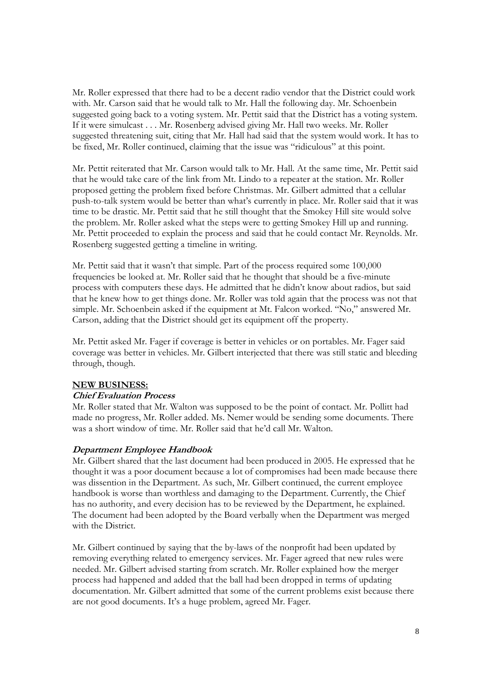Mr. Roller expressed that there had to be a decent radio vendor that the District could work with. Mr. Carson said that he would talk to Mr. Hall the following day. Mr. Schoenbein suggested going back to a voting system. Mr. Pettit said that the District has a voting system. If it were simulcast . . . Mr. Rosenberg advised giving Mr. Hall two weeks. Mr. Roller suggested threatening suit, citing that Mr. Hall had said that the system would work. It has to be fixed, Mr. Roller continued, claiming that the issue was "ridiculous" at this point.

Mr. Pettit reiterated that Mr. Carson would talk to Mr. Hall. At the same time, Mr. Pettit said that he would take care of the link from Mt. Lindo to a repeater at the station. Mr. Roller proposed getting the problem fixed before Christmas. Mr. Gilbert admitted that a cellular push-to-talk system would be better than what's currently in place. Mr. Roller said that it was time to be drastic. Mr. Pettit said that he still thought that the Smokey Hill site would solve the problem. Mr. Roller asked what the steps were to getting Smokey Hill up and running. Mr. Pettit proceeded to explain the process and said that he could contact Mr. Reynolds. Mr. Rosenberg suggested getting a timeline in writing.

Mr. Pettit said that it wasn't that simple. Part of the process required some 100,000 frequencies be looked at. Mr. Roller said that he thought that should be a five-minute process with computers these days. He admitted that he didn't know about radios, but said that he knew how to get things done. Mr. Roller was told again that the process was not that simple. Mr. Schoenbein asked if the equipment at Mt. Falcon worked. "No," answered Mr. Carson, adding that the District should get its equipment off the property.

Mr. Pettit asked Mr. Fager if coverage is better in vehicles or on portables. Mr. Fager said coverage was better in vehicles. Mr. Gilbert interjected that there was still static and bleeding through, though.

#### **NEW BUSINESS:**

#### **Chief Evaluation Process**

Mr. Roller stated that Mr. Walton was supposed to be the point of contact. Mr. Pollitt had made no progress, Mr. Roller added. Ms. Nemer would be sending some documents. There was a short window of time. Mr. Roller said that he'd call Mr. Walton.

#### **Department Employee Handbook**

Mr. Gilbert shared that the last document had been produced in 2005. He expressed that he thought it was a poor document because a lot of compromises had been made because there was dissention in the Department. As such, Mr. Gilbert continued, the current employee handbook is worse than worthless and damaging to the Department. Currently, the Chief has no authority, and every decision has to be reviewed by the Department, he explained. The document had been adopted by the Board verbally when the Department was merged with the District.

Mr. Gilbert continued by saying that the by-laws of the nonprofit had been updated by removing everything related to emergency services. Mr. Fager agreed that new rules were needed. Mr. Gilbert advised starting from scratch. Mr. Roller explained how the merger process had happened and added that the ball had been dropped in terms of updating documentation. Mr. Gilbert admitted that some of the current problems exist because there are not good documents. It's a huge problem, agreed Mr. Fager.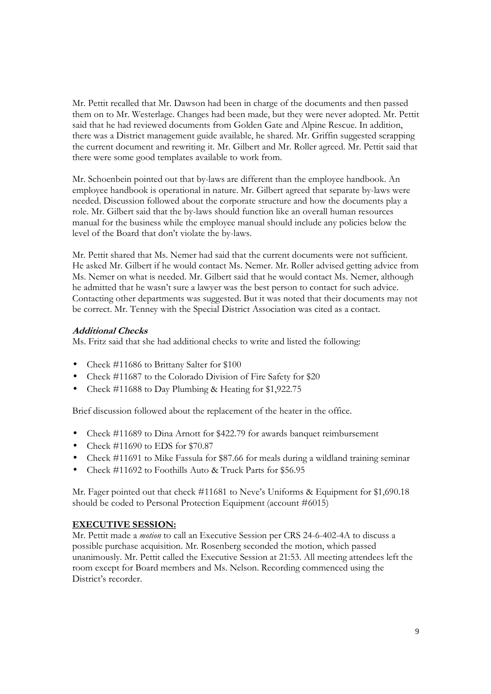Mr. Pettit recalled that Mr. Dawson had been in charge of the documents and then passed them on to Mr. Westerlage. Changes had been made, but they were never adopted. Mr. Pettit said that he had reviewed documents from Golden Gate and Alpine Rescue. In addition, there was a District management guide available, he shared. Mr. Griffin suggested scrapping the current document and rewriting it. Mr. Gilbert and Mr. Roller agreed. Mr. Pettit said that there were some good templates available to work from.

Mr. Schoenbein pointed out that by-laws are different than the employee handbook. An employee handbook is operational in nature. Mr. Gilbert agreed that separate by-laws were needed. Discussion followed about the corporate structure and how the documents play a role. Mr. Gilbert said that the by-laws should function like an overall human resources manual for the business while the employee manual should include any policies below the level of the Board that don't violate the by-laws.

Mr. Pettit shared that Ms. Nemer had said that the current documents were not sufficient. He asked Mr. Gilbert if he would contact Ms. Nemer. Mr. Roller advised getting advice from Ms. Nemer on what is needed. Mr. Gilbert said that he would contact Ms. Nemer, although he admitted that he wasn't sure a lawyer was the best person to contact for such advice. Contacting other departments was suggested. But it was noted that their documents may not be correct. Mr. Tenney with the Special District Association was cited as a contact.

### **Additional Checks**

Ms. Fritz said that she had additional checks to write and listed the following:

- Check #11686 to Brittany Salter for \$100
- Check #11687 to the Colorado Division of Fire Safety for \$20
- Check #11688 to Day Plumbing & Heating for \$1,922.75

Brief discussion followed about the replacement of the heater in the office.

- Check #11689 to Dina Arnott for \$422.79 for awards banquet reimbursement
- Check #11690 to EDS for \$70.87
- Check #11691 to Mike Fassula for \$87.66 for meals during a wildland training seminar
- Check #11692 to Foothills Auto & Truck Parts for \$56.95

Mr. Fager pointed out that check #11681 to Neve's Uniforms & Equipment for \$1,690.18 should be coded to Personal Protection Equipment (account #6015)

#### **EXECUTIVE SESSION:**

Mr. Pettit made a *motion* to call an Executive Session per CRS 24-6-402-4A to discuss a possible purchase acquisition. Mr. Rosenberg seconded the motion, which passed unanimously. Mr. Pettit called the Executive Session at 21:53. All meeting attendees left the room except for Board members and Ms. Nelson. Recording commenced using the District's recorder.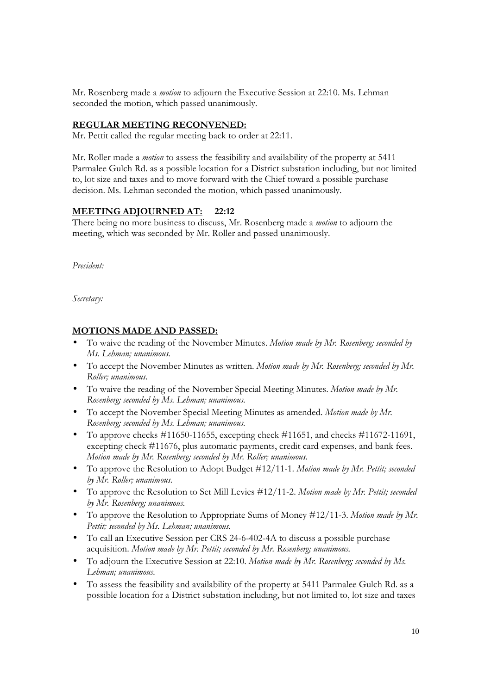Mr. Rosenberg made a *motion* to adjourn the Executive Session at 22:10. Ms. Lehman seconded the motion, which passed unanimously.

#### **REGULAR MEETING RECONVENED:**

Mr. Pettit called the regular meeting back to order at 22:11.

Mr. Roller made a *motion* to assess the feasibility and availability of the property at 5411 Parmalee Gulch Rd. as a possible location for a District substation including, but not limited to, lot size and taxes and to move forward with the Chief toward a possible purchase decision. Ms. Lehman seconded the motion, which passed unanimously.

#### **MEETING ADJOURNED AT: 22:12**

There being no more business to discuss, Mr. Rosenberg made a *motion* to adjourn the meeting, which was seconded by Mr. Roller and passed unanimously.

*President:* 

*Secretary:* 

#### **MOTIONS MADE AND PASSED:**

- To waive the reading of the November Minutes. *Motion made by Mr. Rosenberg; seconded by Ms. Lehman; unanimous.*
- To accept the November Minutes as written. *Motion made by Mr. Rosenberg; seconded by Mr. Roller; unanimous.*
- To waive the reading of the November Special Meeting Minutes. *Motion made by Mr. Rosenberg; seconded by Ms. Lehman; unanimous.*
- To accept the November Special Meeting Minutes as amended. *Motion made by Mr. Rosenberg; seconded by Ms. Lehman; unanimous.*
- To approve checks  $\#11650-11655$ , excepting check  $\#11651$ , and checks  $\#11672-11691$ , excepting check #11676, plus automatic payments, credit card expenses, and bank fees. *Motion made by Mr. Rosenberg; seconded by Mr. Roller; unanimous.*
- To approve the Resolution to Adopt Budget #12/11-1. *Motion made by Mr. Pettit; seconded by Mr. Roller; unanimous.*
- To approve the Resolution to Set Mill Levies #12/11-2. *Motion made by Mr. Pettit; seconded by Mr. Rosenberg; unanimous.*
- To approve the Resolution to Appropriate Sums of Money #12/11-3. *Motion made by Mr. Pettit; seconded by Ms. Lehman; unanimous.*
- To call an Executive Session per CRS 24-6-402-4A to discuss a possible purchase acquisition. *Motion made by Mr. Pettit; seconded by Mr. Rosenberg; unanimous.*
- To adjourn the Executive Session at 22:10. *Motion made by Mr. Rosenberg; seconded by Ms. Lehman; unanimous.*
- To assess the feasibility and availability of the property at 5411 Parmalee Gulch Rd. as a possible location for a District substation including, but not limited to, lot size and taxes